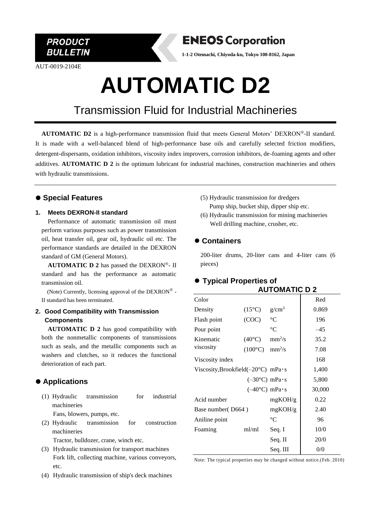

AUT-0019-2104E



**1-1-2 Otemachi, Chiyoda-ku, Tokyo 100-8162, Japan**

# **AUTOMATIC D2**

### Transmission Fluid for Industrial Machineries

**AUTOMATIC D2** is a high-performance transmission fluid that meets General Motors' DEXRON®-II standard. It is made with a well-balanced blend of high-performance base oils and carefully selected friction modifiers, detergent-dispersants, oxidation inhibitors, viscosity index improvers, corrosion inhibitors, de-foaming agents and other additives. **AUTOMATIC D 2** is the optimum lubricant for industrial machines, construction machineries and others with hydraulic transmissions.

#### ⚫ **Special Features**

#### **1. Meets DEXRON-II standard**

Performance of automatic transmission oil must perform various purposes such as power transmission oil, heat transfer oil, gear oil, hydraulic oil etc. The performance standards are detailed in the DEXRON standard of GM (General Motors).

**AUTOMATIC D 2** has passed the DEXRON®- II standard and has the performance as automatic transmission oil.

(Note) Currently, licensing approval of the  $DEXRON^{\circledast}$  -II standard has been terminated.

#### **2. Good Compatibility with Transmission Components**

**AUTOMATIC D 2** has good compatibility with both the nonmetallic components of transmissions such as seals, and the metallic components such as washers and clutches, so it reduces the functional deterioration of each part.

#### ⚫ **Applications**

- (1) Hydraulic transmission for industrial machineries Fans, blowers, pumps, etc.
- (2) Hydraulic transmission for construction machineries

Tractor, bulldozer, crane, winch etc.

- (3) Hydraulic transmission for transport machines Fork lift, collecting machine, various conveyors, etc.
- (4) Hydraulic transmission of ship's deck machines
- (5) Hydraulic transmission for dredgers Pump ship, bucket ship, dipper ship etc.
- (6) Hydraulic transmission for mining machineries Well drilling machine, crusher, etc.

#### ⚫ **Containers**

200-liter drums, 20-liter cans and 4-liter cans (6 pieces)

#### ⚫ **Typical Properties of**

|                                               | <b>AUTOMATIC D 2</b> |                                |        |
|-----------------------------------------------|----------------------|--------------------------------|--------|
| Color                                         |                      |                                | Red    |
| Density                                       | $(15^{\circ}C)$      | $g/cm^3$                       | 0.869  |
| Flash point                                   | (COC)                | $\rm ^{\circ}C$                | 196    |
| Pour point                                    |                      | $^{\circ}C$                    | $-45$  |
| Kinematic<br>viscosity                        | $(40^{\circ}C)$      | mm <sup>2</sup> /s             | 35.2   |
|                                               | $(100^{\circ}C)$     | $mm^2/s$                       | 7.08   |
| Viscosity index                               |                      |                                | 168    |
| Viscosity, Brookfield( $-20^{\circ}$ C) mPa·s |                      |                                | 1,400  |
|                                               |                      | $(-30^{\circ}C)$ mPa $\cdot$ s | 5,800  |
|                                               |                      | $(-40^{\circ}C)$ mPa $\cdot$ s | 30,000 |
| Acid number                                   |                      | mgKOH/g                        | 0.22   |
| Base number (D664)                            |                      | mgKOH/g                        | 2.40   |
| Aniline point                                 |                      | $^{\circ}C$                    | 96     |
| Foaming                                       | ml/ml                | Seq. I                         | 10/0   |
|                                               |                      | Seq. II                        | 20/0   |
|                                               |                      | Seq. III                       | 0/0    |

Note: The typical properties may be changed without notice.(Feb. 2010)